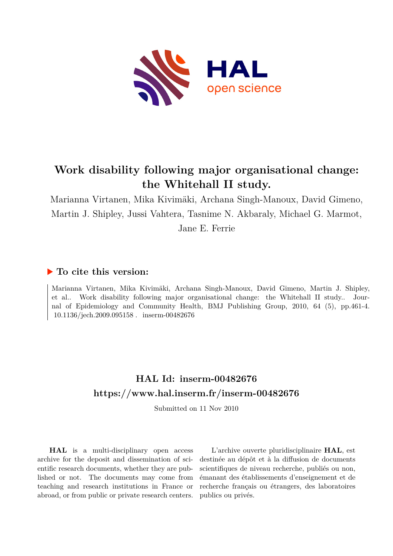

# **Work disability following major organisational change: the Whitehall II study.**

Marianna Virtanen, Mika Kivimäki, Archana Singh-Manoux, David Gimeno, Martin J. Shipley, Jussi Vahtera, Tasnime N. Akbaraly, Michael G. Marmot, Jane E. Ferrie

# **To cite this version:**

Marianna Virtanen, Mika Kivimäki, Archana Singh-Manoux, David Gimeno, Martin J. Shipley, et al.. Work disability following major organisational change: the Whitehall II study.. Journal of Epidemiology and Community Health, BMJ Publishing Group, 2010, 64 (5), pp.461-4.  $10.1136/{\rm jech.2009.095158}$ . inserm-00482676

# **HAL Id: inserm-00482676 <https://www.hal.inserm.fr/inserm-00482676>**

Submitted on 11 Nov 2010

**HAL** is a multi-disciplinary open access archive for the deposit and dissemination of scientific research documents, whether they are published or not. The documents may come from teaching and research institutions in France or abroad, or from public or private research centers.

L'archive ouverte pluridisciplinaire **HAL**, est destinée au dépôt et à la diffusion de documents scientifiques de niveau recherche, publiés ou non, émanant des établissements d'enseignement et de recherche français ou étrangers, des laboratoires publics ou privés.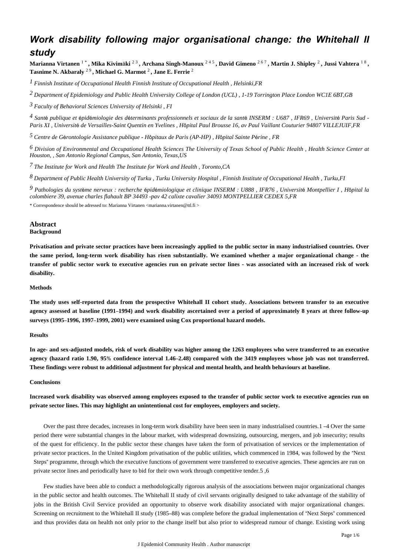# *Work disability following major organisational change: the Whitehall II study*

**Marianna Virtanen** 1 \* **, Mika Kivim**ä**ki** 2 3 **, Archana Singh-Manoux** 2 4 5 **, David Gimeno** 2 6 7 **, Martin J. Shipley** <sup>2</sup> **, Jussi Vahtera** 1 8 **, Tasnime N. Akbaraly** 2 9 **, Michael G. Marmot** <sup>2</sup> **, Jane E. Ferrie** <sup>2</sup>

*Finnish Institute of Occupational Health 1 Finnish Institute of Occupational Health , Helsinki,FR*

*Department of Epidemiology and Public Health 2 University College of London (UCL) , 1-19 Torrington Place London WC1E 6BT,GB*

*Faculty of Behavioral Sciences 3 University of Helsinki , FI*

<sup>4</sup> Santé publique et épidémiologie des déterminants professionnels et sociaux de la santé INSERM : U687, IFR69, Université Paris Sud -*Paris XI , Universit*é *de Versailles-Saint Quentin en Yvelines , H*ô*pital Paul Brousse 16, av Paul Vaillant Couturier 94807 VILLEJUIF,FR*

*Centre de G rontologie 5* <sup>é</sup> *Assistance publique - H*ô*pitaux de Paris (AP-HP) , H*ô*pital Sainte P*é*rine , FR*

*Division of Environmental and Occupational Health Sciences 6 The University of Texas School of Public Health , Health Science Center at Houston, , San Antonio Regional Campus, San Antonio, Texas,US*

*The Institute for Work and Health 7 The Institute for Work and Health , Toronto,CA*

*Department of Public Health 8 University of Turku , Turku University Hospital , Finnish Institute of Occupational Health , Turku,FI*

*Pathologies du syst me nerveux : recherche pid miologique et clinique 9* <sup>è</sup> <sup>é</sup> <sup>é</sup> *INSERM : U888 , IFR76 , Universit*é *Montpellier I , H*ô*pital la colombiere 39, avenue charles flahault BP 34493 -pav 42 calixte cavalier 34093 MONTPELLIER CEDEX 5,FR*

\* Correspondence should be adressed to: Marianna Virtanen <marianna.virtanen@ttl.fi >

#### **Abstract Background**

**Privatisation and private sector practices have been increasingly applied to the public sector in many industrialised countries. Over the same period, long-term work disability has risen substantially. We examined whether a major organizational change - the transfer of public sector work to executive agencies run on private sector lines - was associated with an increased risk of work disability.**

#### **Methods**

**The study uses self-reported data from the prospective Whitehall II cohort study. Associations between transfer to an executive agency assessed at baseline (1991**–**1994) and work disability ascertained over a period of approximately 8 years at three follow-up surveys (1995**–**1996, 1997**–**1999, 2001) were examined using Cox proportional hazard models.**

## **Results**

**In age- and sex-adjusted models, risk of work disability was higher among the 1263 employees who were transferred to an executive agency (hazard ratio 1.90, 95**% **confidence interval 1.46**–**2.48) compared with the 3419 employees whose job was not transferred. These findings were robust to additional adjustment for physical and mental health, and health behaviours at baseline.**

## **Conclusions**

**Increased work disability was observed among employees exposed to the transfer of public sector work to executive agencies run on private sector lines. This may highlight an unintentional cost for employees, employers and society.**

Over the past three decades, increases in long-term work disability have been seen in many industrialised countries.1 –4 Over the same period there were substantial changes in the labour market, with widespread downsizing, outsourcing, mergers, and job insecurity; results of the quest for efficiency. In the public sector these changes have taken the form of privatisation of services or the implementation of private sector practices. In the United Kingdom privatisation of the public utilities, which commenced in 1984, was followed by the "Next Steps" programme, through which the executive functions of government were transferred to executive agencies. These agencies are run on private sector lines and periodically have to bid for their own work through competitive tender.5 ,6

Few studies have been able to conduct a methodologically rigorous analysis of the associations between major organizational changes in the public sector and health outcomes. The Whitehall II study of civil servants originally designed to take advantage of the stability of jobs in the British Civil Service provided an opportunity to observe work disability associated with major organizational changes. Screening on recruitment to the Whitehall II study (1985–88) was complete before the gradual implementation of "Next Steps" commenced and thus provides data on health not only prior to the change itself but also prior to widespread rumour of change. Existing work using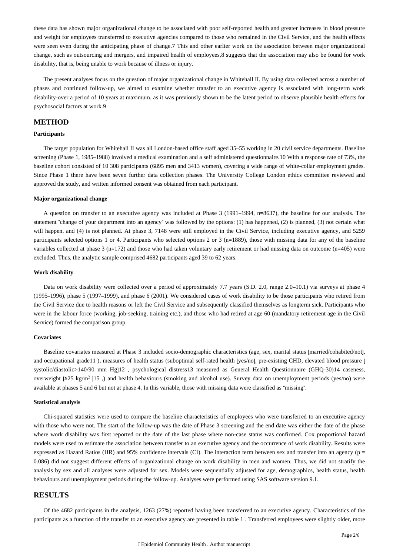these data has shown major organizational change to be associated with poor self-reported health and greater increases in blood pressure and weight for employees transferred to executive agencies compared to those who remained in the Civil Service, and the health effects were seen even during the anticipating phase of change.7 This and other earlier work on the association between major organizational change, such as outsourcing and mergers, and impaired health of employees,8 suggests that the association may also be found for work disability, that is, being unable to work because of illness or injury.

The present analyses focus on the question of major organizational change in Whitehall II. By using data collected across a number of phases and continued follow-up, we aimed to examine whether transfer to an executive agency is associated with long-term work disability-over a period of 10 years at maximum, as it was previously shown to be the latent period to observe plausible health effects for psychosocial factors at work.9

## **METHOD**

## **Participants**

The target population for Whitehall II was all London-based office staff aged 35–55 working in 20 civil service departments. Baseline screening (Phase 1, 1985–1988) involved a medical examination and a self administered questionnaire.10 With a response rate of 73%, the baseline cohort consisted of 10 308 participants (6895 men and 3413 women), covering a wide range of white-collar employment grades. Since Phase 1 there have been seven further data collection phases. The University College London ethics committee reviewed and approved the study, and written informed consent was obtained from each participant.

## **Major organizational change**

A question on transfer to an executive agency was included at Phase 3 (1991–1994, n=8637), the baseline for our analysis. The statement "change of your department into an agency" was followed by the options: (1) has happened, (2) is planned, (3) not certain what will happen, and (4) is not planned. At phase 3, 7148 were still employed in the Civil Service, including executive agency, and 5259 participants selected options 1 or 4. Participants who selected options 2 or 3 (n=1889), those with missing data for any of the baseline variables collected at phase 3 (n=172) and those who had taken voluntary early retirement or had missing data on outcome (n=405) were excluded. Thus, the analytic sample comprised 4682 participants aged 39 to 62 years.

#### **Work disability**

Data on work disability were collected over a period of approximately 7.7 years (S.D. 2.0, range 2.0–10.1) via surveys at phase 4 (1995–1996), phase 5 (1997–1999), and phase 6 (2001). We considered cases of work disability to be those participants who retired from the Civil Service due to health reasons or left the Civil Service and subsequently classified themselves as longterm sick. Participants who were in the labour force (working, job-seeking, training etc.), and those who had retired at age 60 (mandatory retirement age in the Civil Service) formed the comparison group.

# **Covariates**

Baseline covariates measured at Phase 3 included socio-demographic characteristics (age, sex, marital status [married/cohabited/not], and occupational grade11 ), measures of health status (suboptimal self-rated health [yes/no], pre-existing CHD, elevated blood pressure [ systolic/diastolic>140/90 mm Hg]12 , psychological distress13 measured as General Health Questionnaire (GHQ-30)14 caseness, overweight [≥25 kg/m<sup>2</sup>]15, and health behaviours (smoking and alcohol use). Survey data on unemployment periods (yes/no) were available at phases 5 and 6 but not at phase 4. In this variable, those with missing data were classified as "missing".

#### **Statistical analysis**

Chi-squared statistics were used to compare the baseline characteristics of employees who were transferred to an executive agency with those who were not. The start of the follow-up was the date of Phase 3 screening and the end date was either the date of the phase where work disability was first reported or the date of the last phase where non-case status was confirmed. Cox proportional hazard models were used to estimate the association between transfer to an executive agency and the occurrence of work disability. Results were expressed as Hazard Ratios (HR) and 95% confidence intervals (CI). The interaction term between sex and transfer into an agency (p = 0.086) did not suggest different effects of organizational change on work disability in men and women. Thus, we did not stratify the analysis by sex and all analyses were adjusted for sex. Models were sequentially adjusted for age, demographics, health status, health behaviours and unemployment periods during the follow-up. Analyses were performed using SAS software version 9.1.

# **RESULTS**

Of the 4682 participants in the analysis, 1263 (27%) reported having been transferred to an executive agency. Characteristics of the participants as a function of the transfer to an executive agency are presented in table 1 . Transferred employees were slightly older, more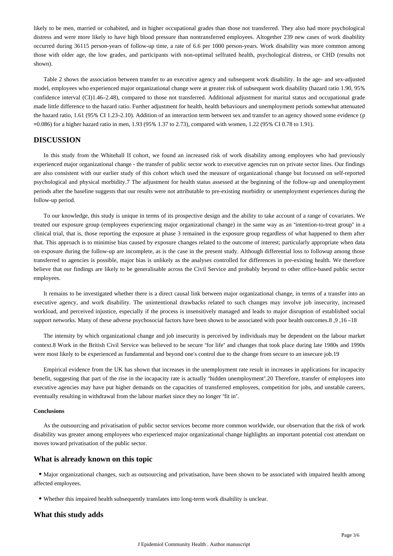likely to be men, married or cohabited, and in higher occupational grades than those not transferred. They also had more psychological distress and were more likely to have high blood pressure than nontransferred employees. Altogether 239 new cases of work disability occurred during 36115 person-years of follow-up time, a rate of 6.6 per 1000 person-years. Work disability was more common among those with older age, the low grades, and participants with non-optimal selfrated health, psychological distress, or CHD (results not shown).

Table 2 shows the association between transfer to an executive agency and subsequent work disability. In the age- and sex-adjusted model, employees who experienced major organizational change were at greater risk of subsequent work disability (hazard ratio 1.90, 95% confidence interval (CI)1.46–2.48), compared to those not transferred. Additional adjustment for marital status and occupational grade made little difference to the hazard ratio. Further adjustment for health, health behaviours and unemployment periods somewhat attenuated the hazard ratio, 1.61 (95% CI 1.23–2.10). Addition of an interaction term between sex and transfer to an agency showed some evidence (p =0.086) for a higher hazard ratio in men, 1.93 (95% 1.37 to 2.73), compared with women, 1.22 (95% CI 0.78 to 1.91).

# **DISCUSSION**

In this study from the Whitehall II cohort, we found an increased risk of work disability among employees who had previously experienced major organizational change - the transfer of public sector work to executive agencies run on private sector lines. Our findings are also consistent with our earlier study of this cohort which used the measure of organizational change but focussed on self-reported psychological and physical morbidity.7 The adjustment for health status assessed at the beginning of the follow-up and unemployment periods after the baseline suggests that our results were not attributable to pre-existing morbidity or unemployment experiences during the follow-up period.

To our knowledge, this study is unique in terms of its prospective design and the ability to take account of a range of covariates. We treated our exposure group (employees experiencing major organizational change) in the same way as an "intention-to-treat group" in a clinical trial, that is, those reporting the exposure at phase 3 remained in the exposure group regardless of what happened to them after that. This approach is to minimise bias caused by exposure changes related to the outcome of interest; particularly appropriate when data on exposure during the follow-up are incomplete, as is the case in the present study. Although differential loss to followup among those transferred to agencies is possible, major bias is unlikely as the analyses controlled for differences in pre-existing health. We therefore believe that our findings are likely to be generalisable across the Civil Service and probably beyond to other office-based public sector employees.

It remains to be investigated whether there is a direct causal link between major organizational change, in terms of a transfer into an executive agency, and work disability. The unintentional drawbacks related to such changes may involve job insecurity, increased workload, and perceived injustice, especially if the process is insensitively managed and leads to major disruption of established social support networks. Many of these adverse psychosocial factors have been shown to be associated with poor health outcomes.8 ,9 ,16 –18

The intensity by which organizational change and job insecurity is perceived by individuals may be dependent on the labour market context.8 Work in the British Civil Service was believed to be secure "for life" and changes that took place during late 1980s and 1990s were most likely to be experienced as fundamental and beyond one's control due to the change from secure to an insecure job.19

Empirical evidence from the UK has shown that increases in the unemployment rate result in increases in applications for incapacity benefit, suggesting that part of the rise in the incapacity rate is actually "hidden unemployment".20 Therefore, transfer of employees into executive agencies may have put higher demands on the capacities of transferred employees, competition for jobs, and unstable careers, eventually resulting in withdrawal from the labour market since they no longer "fit in".

#### **Conclusions**

As the outsourcing and privatisation of public sector services become more common worldwide, our observation that the risk of work disability was greater among employees who experienced major organizational change highlights an important potential cost attendant on moves toward privatisation of the public sector.

# **What is already known on this topic**

Major organizational changes, such as outsourcing and privatisation, have been shown to be associated with impaired health among affected employees.

Whether this impaired health subsequently translates into long-term work disability is unclear.

# **What this study adds**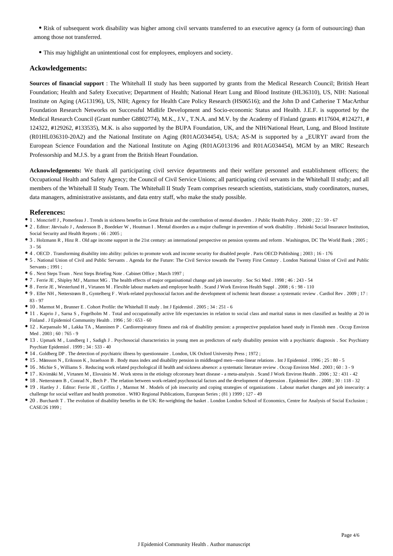• Risk of subsequent work disability was higher among civil servants transferred to an executive agency (a form of outsourcing) than among those not transferred.

This may highlight an unintentional cost for employees, employers and society.

# **Ackowledgements:**

**Sources of financial support** : The Whitehall II study has been supported by grants from the Medical Research Council; British Heart Foundation; Health and Safety Executive; Department of Health; National Heart Lung and Blood Institute (HL36310), US, NIH: National Institute on Aging (AG13196), US, NIH; Agency for Health Care Policy Research (HS06516); and the John D and Catherine T MacArthur Foundation Research Networks on Successful Midlife Development and Socio-economic Status and Health. J.E.F. is supported by the Medical Research Council (Grant number G8802774), M.K., J.V., T.N.A. and M.V. by the Academy of Finland (grants #117604, #124271, # 124322, #129262, #133535), M.K. is also supported by the BUPA Foundation, UK, and the NIH/National Heart, Lung, and Blood Institute (R01HL036310-20A2) and the National Institute on Aging (R01AG034454), USA; AS-M is supported by a \_EURYI' award from the European Science Foundation and the National Institute on Aging (R01AG013196 and R01AG034454), MGM by an MRC Research Professorship and M.J.S. by a grant from the British Heart Foundation.

**Acknowledgements:** We thank all participating civil service departments and their welfare personnel and establishment officers; the Occupational Health and Safety Agency; the Council of Civil Service Unions; all participating civil servants in the Whitehall II study; and all members of the Whitehall II Study Team. The Whitehall II Study Team comprises research scientists, statisticians, study coordinators, nurses, data managers, administrative assistants, and data entry staff, who make the study possible.

## **References:**

- 1 . Moncrieff J , Pomerleau J . Trends in sickness benefits in Great Britain and the contribution of mental disorders . J Public Health Policy . 2000 ; 22 : 59 67
- 2 . Editor: Järvisalo J , Andersson B , Boedeker W , Houtman I . Mental disorders as a major challenge in prevention of work disability . Helsinki Social Insurance Institution, Social Security and Health Reports ; 66 : 2005 ;
- 3 . Holzmann R , Hinz R . Old age income support in the 21st century: an international perspective on pension systems and reform . Washington, DC The World Bank ; 2005 ; 3 - 56
- 4 . OECD . Transforming disability into ability: policies to promote work and income security for disabled people . Paris OECD Publishing ; 2003 ; 16 176
- 5 . National Union of Civil and Public Servants . Agenda for the Future: The Civil Service towards the Twenty First Century . London National Union of Civil and Public Servants ; 1991 ;
- 6 . Next Steps Team . Next Steps Briefing Note . Cabinet Office ; March 1997 ;
- 7 . Ferrie JE , Shipley MJ , Marmot MG . The health effects of major organisational change and job insecurity . Soc Sci Med . 1998 ; 46 : 243 54
- 8 . Ferrie JE , Westerlund H , Virtanen M . Flexible labour markets and employee health . Scand J Work Environ Health Suppl . 2008 ; 6 : 98 110
- 9 . Eller NH , Netterstrøm B , Gyntelberg F . Work-related psychosocial factors and the development of ischemic heart disease: a systematic review . Cardiol Rev . 2009 ; 17 : 83 - 97
- 10 . Marmot M , Brunner E . Cohort Profile: the Whitehall II study . Int J Epidemiol . 2005 ; 34 : 251 6
- 11 . Kaprio J , Sarna S , Fogelholm M . Total and occupationally active life expectancies in relation to social class and marital status in men classified as healthy at 20 in Finland . J Epidemiol Community Health . 1996 ; 50 : 653 - 60
- 12 . Karpansalo M , Lakka TA , Manninen P . Cardiorespiratory fitness and risk of disability pension: a prospective population based study in Finnish men . Occup Environ Med  $2003 \cdot 60 \cdot 765 = 9$
- 13 . Upmark M , Lundberg I , Sadigh J . Psychosocial characteristics in young men as predictors of early disability pension with a psychiatric diagnosis . Soc Psychiatry Psychiatr Epidemiol  $1999 \cdot 34 \cdot 533 = 40$
- 14 . Goldberg DP . The detection of psychiatric illness by questionnaire . London, UK Oxford University Press ; 1972 ;
- 15 . Månsson N , Eriksson K , Israelsson B . Body mass index and disability pension in middleaged men—non-linear relations . Int J Epidemiol . 1996 ; 25 : 80 5
- 16 . Michie S , Williams S . Reducing work related psychological ill health and sickness absence: a systematic literature review . Occup Environ Med . 2003 ; 60 : 3 9
- 17 . Kivimäki M , Virtanen M , Elovainio M . Work stress in the etiology ofcoronary heart disease a meta-analysis . Scand J Work Environ Health . 2006 ; 32 : 431 42
- 18 . Netterstrøm B , Conrad N , Bech P . The relation between work-related psychosocial factors and the development of depression . Epidemiol Rev . 2008 ; 30 : 118 32
- 19 . Hartley J . Editor: Ferrie JE , Griffits J , Marmot M . Models of job insecurity and coping strategies of organizations . Labour market changes and job insecurity: a challenge for social welfare and health promotion . WHO Regional Publications, European Series ; (81 ) 1999 ; 127 - 49
- 20 . Burchardt T . The evolution of disability benefits in the UK: Re-weighting the basket . London London School of Economics, Centre for Analysis of Social Exclusion ; CASE/26 1999 ;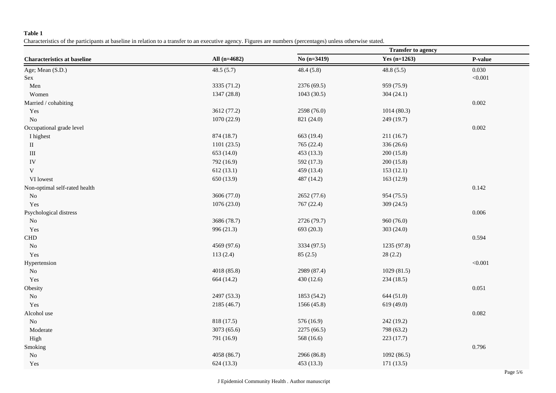# **Table 1**

Characteristics of the participants at baseline in relation to a transfer to an executive agency. Figures are numbers (percentages) unless otherwise stated.

|                                    |              | <b>Transfer to agency</b> |                |         |  |
|------------------------------------|--------------|---------------------------|----------------|---------|--|
| <b>Characteristics at baseline</b> | All (n=4682) | No $(n=3419)$             | Yes $(n=1263)$ | P-value |  |
| Age; Mean (S.D.)                   | 48.5(5.7)    | 48.4(5.8)                 | 48.8(5.5)      | 0.030   |  |
| Sex                                |              |                           |                | < 0.001 |  |
| Men                                | 3335 (71.2)  | 2376 (69.5)               | 959 (75.9)     |         |  |
| Women                              | 1347 (28.8)  | 1043(30.5)                | 304(24.1)      |         |  |
| Married / cohabiting               |              |                           |                | 0.002   |  |
| Yes                                | 3612 (77.2)  | 2598 (76.0)               | 1014(80.3)     |         |  |
| No                                 | 1070 (22.9)  | 821 (24.0)                | 249(19.7)      |         |  |
| Occupational grade level           |              |                           |                | 0.002   |  |
| I highest                          | 874 (18.7)   | 663 (19.4)                | 211(16.7)      |         |  |
| $\rm II$                           | 1101 (23.5)  | 765 (22.4)                | 336 (26.6)     |         |  |
| $\rm III$                          | 653 (14.0)   | 453 (13.3)                | 200(15.8)      |         |  |
| ${\rm IV}$                         | 792 (16.9)   | 592 (17.3)                | 200(15.8)      |         |  |
| V                                  | 612(13.1)    | 459 (13.4)                | 153(12.1)      |         |  |
| VI lowest                          | 650 (13.9)   | 487 (14.2)                | 163(12.9)      |         |  |
| Non-optimal self-rated health      |              |                           |                | 0.142   |  |
| $\rm No$                           | 3606 (77.0)  | 2652 (77.6)               | 954 (75.5)     |         |  |
| Yes                                | 1076 (23.0)  | 767 (22.4)                | 309 $(24.5)$   |         |  |
| Psychological distress             |              |                           |                | 0.006   |  |
| No                                 | 3686 (78.7)  | 2726 (79.7)               | 960 (76.0)     |         |  |
| Yes                                | 996 (21.3)   | 693 (20.3)                | 303 (24.0)     |         |  |
| ${\rm CHD}$                        |              |                           |                | 0.594   |  |
| $\rm No$                           | 4569 (97.6)  | 3334 (97.5)               | 1235 (97.8)    |         |  |
| Yes                                | 113(2.4)     | 85(2.5)                   | 28(2.2)        |         |  |
| Hypertension                       |              |                           |                | < 0.001 |  |
| $\rm No$                           | 4018 (85.8)  | 2989 (87.4)               | 1029(81.5)     |         |  |
| Yes                                | 664 (14.2)   | 430 (12.6)                | 234(18.5)      |         |  |
| Obesity                            |              |                           |                | 0.051   |  |
| $\rm No$                           | 2497 (53.3)  | 1853 (54.2)               | 644(51.0)      |         |  |
| Yes                                | 2185 (46.7)  | 1566 (45.8)               | 619(49.0)      |         |  |
| Alcohol use                        |              |                           |                | 0.082   |  |
| $\rm No$                           | 818 (17.5)   | 576 (16.9)                | 242 (19.2)     |         |  |
| Moderate                           | 3073 (65.6)  | 2275 (66.5)               | 798 (63.2)     |         |  |
| High                               | 791 (16.9)   | 568 (16.6)                | 223(17.7)      |         |  |
| Smoking                            |              |                           |                | 0.796   |  |
| ${\rm No}$                         | 4058 (86.7)  | 2966 (86.8)               | 1092(86.5)     |         |  |
| Yes                                | 624 (13.3)   | 453 (13.3)                | 171(13.5)      |         |  |
|                                    |              |                           |                |         |  |